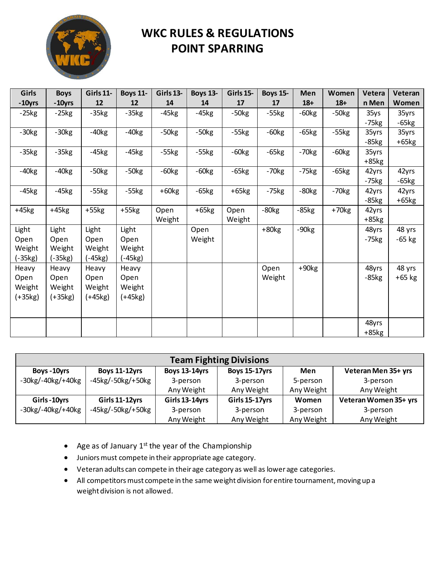

| Girls     | <b>Boys</b> | Girls 11- | <b>Boys 11-</b> | Girls 13- | <b>Boys 13-</b> | Girls 15- | <b>Boys 15-</b> | Men     | Women   | Vetera  | Veteran  |
|-----------|-------------|-----------|-----------------|-----------|-----------------|-----------|-----------------|---------|---------|---------|----------|
| $-10$ yrs | -10yrs      | 12        | 12              | 14        | 14              | 17        | 17              | $18+$   | $18+$   | n Men   | Women    |
| $-25kg$   | $-25kg$     | $-35kg$   | $-35kg$         | $-45kg$   | $-45kg$         | $-50kg$   | $-55kg$         | $-60kg$ | $-50kg$ | 35ys    | 35yrs    |
|           |             |           |                 |           |                 |           |                 |         |         | $-75kg$ | $-65kg$  |
| $-30kg$   | $-30kg$     | $-40kg$   | $-40kg$         | $-50kg$   | $-50kg$         | $-55kg$   | $-60kg$         | $-65kg$ | $-55kg$ | 35yrs   | 35yrs    |
|           |             |           |                 |           |                 |           |                 |         |         | $-85kg$ | $+65kg$  |
| $-35kg$   | $-35kg$     | $-45kg$   | $-45kg$         | $-55kg$   | $-55kg$         | $-60kg$   | $-65kg$         | $-70kg$ | $-60kg$ | 35yrs   |          |
|           |             |           |                 |           |                 |           |                 |         |         | $+85kg$ |          |
| $-40kg$   | $-40kg$     | $-50kg$   | $-50kg$         | $-60kg$   | $-60kg$         | $-65kg$   | $-70kg$         | $-75kg$ | $-65kg$ | 42yrs   | 42yrs    |
|           |             |           |                 |           |                 |           |                 |         |         | $-75kg$ | $-65kg$  |
| $-45kg$   | $-45kg$     | $-55kg$   | $-55kg$         | $+60kg$   | $-65kg$         | $+65kg$   | $-75kg$         | $-80kg$ | $-70kg$ | 42yrs   | 42yrs    |
|           |             |           |                 |           |                 |           |                 |         |         | $-85kg$ | $+65kg$  |
| $+45kg$   | $+45kg$     | $+55kg$   | $+55kg$         | Open      | $+65kg$         | Open      | $-80kg$         | $-85kg$ | $+70kg$ | 42yrs   |          |
|           |             |           |                 | Weight    |                 | Weight    |                 |         |         | $+85kg$ |          |
| Light     | Light       | Light     | Light           |           | Open            |           | $+80kg$         | $-90kg$ |         | 48yrs   | 48 yrs   |
| Open      | Open        | Open      | Open            |           | Weight          |           |                 |         |         | $-75kg$ | $-65$ kg |
| Weight    | Weight      | Weight    | Weight          |           |                 |           |                 |         |         |         |          |
| $(-35kg)$ | $(-35kg)$   | (-45kg)   | $(-45kg)$       |           |                 |           |                 |         |         |         |          |
| Heavy     | Heavy       | Heavy     | Heavy           |           |                 |           | Open            | $+90kg$ |         | 48yrs   | 48 yrs   |
| Open      | Open        | Open      | Open            |           |                 |           | Weight          |         |         | $-85kg$ | $+65$ kg |
| Weight    | Weight      | Weight    | Weight          |           |                 |           |                 |         |         |         |          |
| $(+35kg)$ | $(+35kg)$   | $(+45kg)$ | $(+45kg)$       |           |                 |           |                 |         |         |         |          |
|           |             |           |                 |           |                 |           |                 |         |         |         |          |
|           |             |           |                 |           |                 |           |                 |         |         | 48yrs   |          |
|           |             |           |                 |           |                 |           |                 |         |         | $+85kg$ |          |

| <b>Team Fighting Divisions</b>                 |                              |                      |                      |            |                       |  |  |  |  |  |  |  |
|------------------------------------------------|------------------------------|----------------------|----------------------|------------|-----------------------|--|--|--|--|--|--|--|
| Boys - 10yrs                                   | <b>Boys 11-12yrs</b>         | <b>Boys 13-14yrs</b> | <b>Boys 15-17yrs</b> | Men        | Veteran Men 35+ yrs   |  |  |  |  |  |  |  |
| $-30$ kg/ $-40$ kg/ $+40$ kg                   | $-45$ kg/ $-50$ kg/ $+50$ kg | 3-person             | 3-person             | 5-person   | 3-person              |  |  |  |  |  |  |  |
|                                                |                              | Any Weight           | Any Weight           | Any Weight | Any Weight            |  |  |  |  |  |  |  |
| Girls-10yrs                                    | Girls 11-12yrs               | Girls 13-14yrs       | Girls 15-17yrs       | Women      | Veteran Women 35+ yrs |  |  |  |  |  |  |  |
| $-30\mathrm{kg}/-40\mathrm{kg}/+40\mathrm{kg}$ | $-45$ kg/ $-50$ kg/ $+50$ kg | 3-person             | 3-person             | 3-person   | 3-person              |  |  |  |  |  |  |  |
|                                                |                              | Any Weight           | Any Weight           | Any Weight | Any Weight            |  |  |  |  |  |  |  |

- Age as of January  $1^{st}$  the year of the Championship
- Juniors must compete in their appropriate age category.
- Veteran adults can compete in their age category as well as lower age categories.
- All competitors must compete in the same weight division for entire tournament, moving up a weight division is not allowed.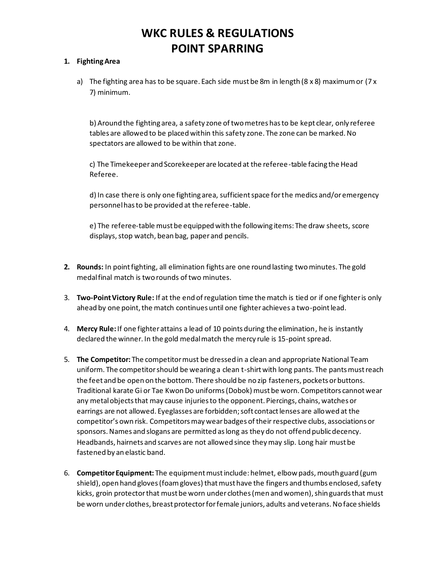#### **1. Fighting Area**

a) The fighting area has to be square. Each side must be 8m in length (8 x 8) maximum or (7 x 7) minimum.

b) Around the fighting area, a safety zone of two metres has to be kept clear, only referee tables are allowed to be placed within this safety zone. The zone can be marked. No spectators are allowed to be within that zone.

c) The Timekeeper and Scorekeeper are located at the referee-table facing the Head Referee.

d) In case there is only one fighting area, sufficient space for the medics and/or emergency personnel has to be provided at the referee-table.

e) The referee-table must be equipped with the following items: The draw sheets, score displays, stop watch, bean bag, paper and pencils.

- **2. Rounds:** In point fighting, all elimination fights are one round lasting two minutes. The gold medal final match is two rounds of two minutes.
- 3. **Two-Point Victory Rule:** If at the end of regulation time the match is tied or if one fighter is only ahead by one point, the match continues until one fighter achieves a two-point lead.
- 4. **Mercy Rule:**If one fighter attains a lead of 10 points during the elimination, he is instantly declared the winner. In the gold medal match the mercy rule is 15-point spread.
- 5. **The Competitor:** The competitor must be dressed in a clean and appropriate National Team uniform. The competitor should be wearing a clean t-shirt with long pants. The pants must reach the feet and be open on the bottom. There should be no zip fasteners, pockets or buttons. Traditional karate Gi or Tae Kwon Do uniforms (Dobok) must be worn. Competitors cannot wear any metal objects that may cause injuries to the opponent. Piercings, chains, watches or earrings are not allowed. Eyeglasses are forbidden; soft contact lenses are allowed at the competitor's own risk. Competitors may wear badges of their respective clubs, associations or sponsors. Names and slogans are permitted as long as they do not offend public decency. Headbands, hairnets and scarves are not allowed since they may slip. Long hair must be fastened by an elastic band.
- 6. **Competitor Equipment:** The equipment must include: helmet, elbow pads, mouth guard (gum shield), open hand gloves (foam gloves) that must have the fingers and thumbs enclosed, safety kicks, groin protector that must be worn under clothes (men and women), shin guards that must be worn under clothes, breast protector for female juniors, adults and veterans. No face shields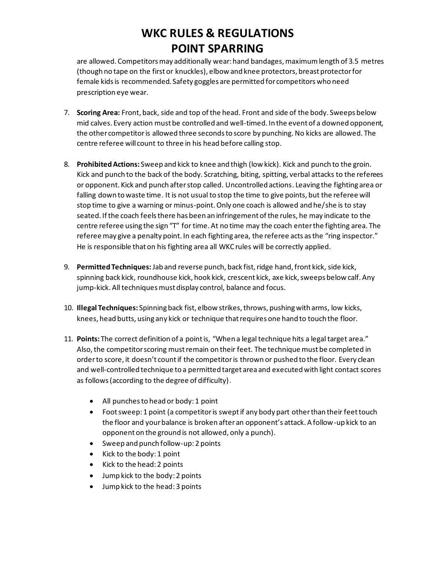are allowed. Competitors may additionally wear: hand bandages, maximum length of 3.5 metres (though no tape on the first or knuckles), elbow and knee protectors, breast protector for female kids is recommended. Safety goggles are permitted for competitors who need prescription eye wear.

- 7. **Scoring Area:** Front, back, side and top of the head. Front and side of the body. Sweeps below mid calves. Every action must be controlled and well-timed. In the event of a downed opponent, the other competitor is allowed three seconds to score by punching. No kicks are allowed. The centre referee will count to three in his head before calling stop.
- 8. **Prohibited Actions:** Sweep and kick to knee and thigh (low kick). Kick and punch to the groin. Kick and punch to the back of the body. Scratching, biting, spitting, verbal attacks to the referees or opponent. Kick and punch after stop called. Uncontrolled actions. Leaving the fighting area or falling down to waste time. It is not usual to stop the time to give points, but the referee will stop time to give a warning or minus-point. Only one coach is allowed and he/she is to stay seated. If the coach feels there has been an infringement of the rules, he may indicate to the centre referee using the sign "T" for time. At no time may the coach enter the fighting area. The referee may give a penalty point. In each fighting area, the referee acts as the "ring inspector." He is responsible that on his fighting area all WKC rules will be correctly applied.
- 9. **Permitted Techniques:**Jab and reverse punch, back fist, ridge hand, front kick, side kick, spinning back kick, roundhouse kick, hook kick, crescent kick, axe kick, sweeps below calf. Any jump-kick. All techniques must display control, balance and focus.
- 10. **Illegal Techniques:** Spinning back fist, elbow strikes, throws, pushing with arms, low kicks, knees, head butts, using any kick or technique that requires one hand to touch the floor.
- 11. **Points:** The correct definition of a point is, "When a legal technique hits a legal target area." Also, the competitor scoring must remain on their feet. The technique must be completed in order to score, it doesn't count if the competitoris thrown or pushed to the floor. Every clean and well-controlled technique to a permitted target area and executed with light contact scores as follows (according to the degree of difficulty).
	- All punches to head or body: 1 point
	- Foot sweep: 1 point (a competitor is swept if any body part other than their feet touch the floor and your balance is broken after an opponent's attack. A follow-up kick to an opponent on the ground is not allowed, only a punch).
	- Sweep and punch follow-up: 2 points
	- Kick to the body: 1 point
	- Kick to the head: 2 points
	- Jump kick to the body: 2 points
	- Jump kick to the head: 3 points